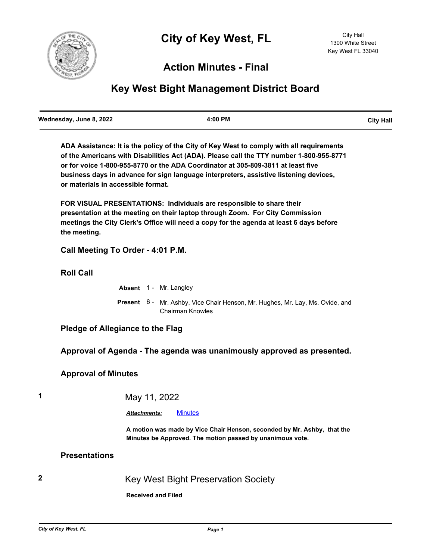

# **Action Minutes - Final**

# **Key West Bight Management District Board**

**ADA Assistance: It is the policy of the City of Key West to comply with all requirements of the Americans with Disabilities Act (ADA). Please call the TTY number 1-800-955-8771 or for voice 1-800-955-8770 or the ADA Coordinator at 305-809-3811 at least five business days in advance for sign language interpreters, assistive listening devices, or materials in accessible format.**

**FOR VISUAL PRESENTATIONS: Individuals are responsible to share their presentation at the meeting on their laptop through Zoom. For City Commission meetings the City Clerk's Office will need a copy for the agenda at least 6 days before the meeting.**

# **Call Meeting To Order - 4:01 P.M.**

**Roll Call**

|  | <b>Absent</b> 1 - Mr. Langley |  |
|--|-------------------------------|--|
|  |                               |  |

Present 6 - Mr. Ashby, Vice Chair Henson, Mr. Hughes, Mr. Lay, Ms. Ovide, and Chairman Knowles

# **Pledge of Allegiance to the Flag**

# **Approval of Agenda - The agenda was unanimously approved as presented.**

# **Approval of Minutes**

# **1** May 11, 2022

#### *Attachments:* [Minutes](http://KeyWest.legistar.com/gateway.aspx?M=F&ID=d5170420-61b5-49f0-8c97-a1295c6579ed.pdf)

**A motion was made by Vice Chair Henson, seconded by Mr. Ashby, that the Minutes be Approved. The motion passed by unanimous vote.**

# **Presentations**

**2** Key West Bight Preservation Society

**Received and Filed**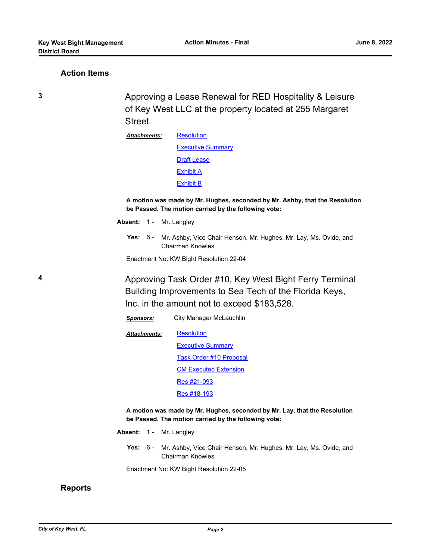### **Action Items**

**3** Approving a Lease Renewal for RED Hospitality & Leisure of Key West LLC at the property located at 255 Margaret Street.

> **[Resolution](http://KeyWest.legistar.com/gateway.aspx?M=F&ID=c0e30640-3469-4793-a75d-43b1acdd857b.pdf)** [Executive Summary](http://KeyWest.legistar.com/gateway.aspx?M=F&ID=d2b359de-2205-4a42-85e5-42b2aa791a60.pdf) **[Draft Lease](http://KeyWest.legistar.com/gateway.aspx?M=F&ID=335a5cab-6c3c-49ff-8127-2ebcb05c44fd.pdf)** [Exhibit A](http://KeyWest.legistar.com/gateway.aspx?M=F&ID=7834763b-bbe6-4694-b570-55e41c687895.pdf) [Exhibit B](http://KeyWest.legistar.com/gateway.aspx?M=F&ID=00e84c45-067b-4481-a48b-0bb49ca2bd17.pdf) *Attachments:*

**A motion was made by Mr. Hughes, seconded by Mr. Ashby, that the Resolution be Passed. The motion carried by the following vote:**

- Absent: 1 Mr. Langley
	- Yes: 6 Mr. Ashby, Vice Chair Henson, Mr. Hughes, Mr. Lay, Ms. Ovide, and Chairman Knowles

Enactment No: KW Bight Resolution 22-04

*Sponsors:* City Manager McLauchlin

**4** Approving Task Order #10, Key West Bight Ferry Terminal Building Improvements to Sea Tech of the Florida Keys, Inc. in the amount not to exceed \$183,528.

> **[Resolution](http://KeyWest.legistar.com/gateway.aspx?M=F&ID=e78009a3-c951-4686-b1f7-5e7ea16c34c6.pdf)** [Executive Summary](http://KeyWest.legistar.com/gateway.aspx?M=F&ID=a524ffda-6e6e-4fa5-83e3-ca9e8603c4aa.pdf) [Task Order #10 Proposal](http://KeyWest.legistar.com/gateway.aspx?M=F&ID=3e9b5000-4d83-4647-9511-3d524743c672.pdf) [CM Executed Extension](http://KeyWest.legistar.com/gateway.aspx?M=F&ID=1c4f4fc1-aac7-4f3e-a8d2-15e388c9bf39.pdf) [Res #21-093](http://KeyWest.legistar.com/gateway.aspx?M=F&ID=696eb4a8-594e-4437-9ce4-b0ab9c1ba642.pdf) [Res #18-193](http://KeyWest.legistar.com/gateway.aspx?M=F&ID=32d24ff8-54ff-41e7-9f89-595c2bca267f.pdf) *Attachments:* **A motion was made by Mr. Hughes, seconded by Mr. Lay, that the Resolution be Passed. The motion carried by the following vote:** Absent: 1 - Mr. Langley

> > **Yes:** Mr. Ashby, Vice Chair Henson, Mr. Hughes, Mr. Lay, Ms. Ovide, and Chairman Knowles Yes:  $6 -$

Enactment No: KW Bight Resolution 22-05

#### **Reports**